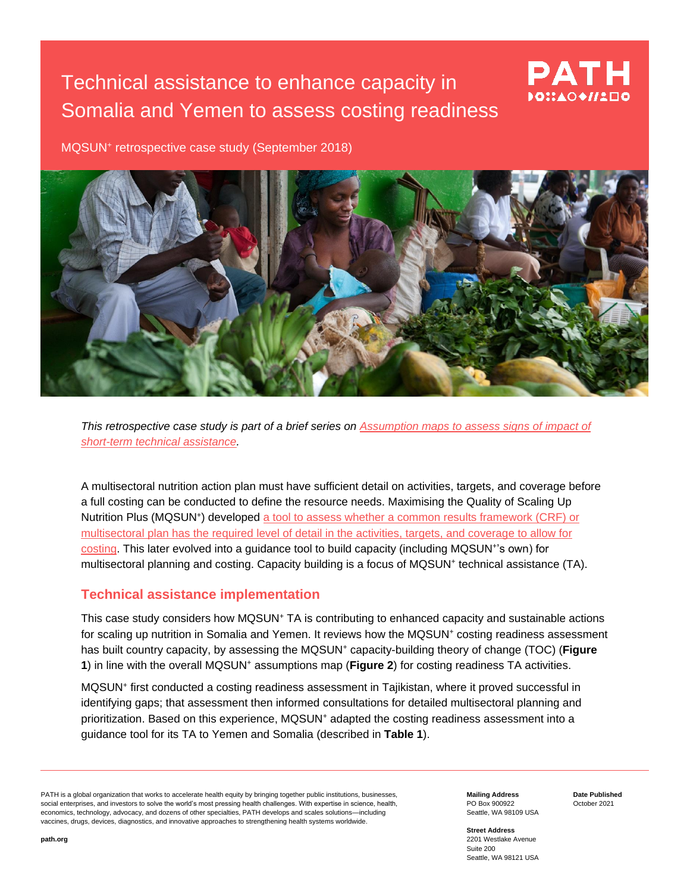## Technical assistance to enhance capacity in Somalia and Yemen to assess costing readiness



MQSUN<sup>+</sup> retrospective case study (September 2018)



*This retrospective case study is part of a brief series on [Assumption maps to assess signs of](https://mqsunplus.path.org/resources/assumption-maps-to-assess-signs-of-impact-of-short-term-technical-assistance/) impact of [short-term technical assistance.](https://mqsunplus.path.org/resources/assumption-maps-to-assess-signs-of-impact-of-short-term-technical-assistance/)*

A multisectoral nutrition action plan must have sufficient detail on activities, targets, and coverage before a full costing can be conducted to define the resource needs. Maximising the Quality of Scaling Up Nutrition Plus (MQSUN<sup>+</sup>) developed a tool to assess whether a common results framework (CRF) or [multisectoral plan has the required level of detail in the activities, targets, and coverage to allow for](https://mqsunplus.path.org/resources/assessing-readiness-for-costing-of-a-common-results-framework-or-national-nutrition-plan-guidance-note/)  [costing.](https://mqsunplus.path.org/resources/assessing-readiness-for-costing-of-a-common-results-framework-or-national-nutrition-plan-guidance-note/) This later evolved into a guidance tool to build capacity (including MQSUN<sup>+</sup>'s own) for multisectoral planning and costing. Capacity building is a focus of MQSUN<sup>+</sup> technical assistance (TA).

## **Technical assistance implementation**

This case study considers how MQSUN<sup>+</sup> TA is contributing to enhanced capacity and sustainable actions for scaling up nutrition in Somalia and Yemen. It reviews how the MQSUN<sup>+</sup> costing readiness assessment has built country capacity, by assessing the MQSUN<sup>+</sup> capacity-building theory of change (TOC) (**Figure 1**) in line with the overall MQSUN<sup>+</sup> assumptions map (**Figure 2**) for costing readiness TA activities.

MQSUN<sup>+</sup> first conducted a costing readiness assessment in Tajikistan, where it proved successful in identifying gaps; that assessment then informed consultations for detailed multisectoral planning and prioritization. Based on this experience, MQSUN<sup>+</sup> adapted the costing readiness assessment into a guidance tool for its TA to Yemen and Somalia (described in **Table 1**).

PATH is a global organization that works to accelerate health equity by bringing together public institutions, businesses, social enterprises, and investors to solve the world's most pressing health challenges. With expertise in science, health, economics, technology, advocacy, and dozens of other specialties, PATH develops and scales solutions—including vaccines, drugs, devices, diagnostics, and innovative approaches to strengthening health systems worldwide.

**Mailing Address** PO Box 900922 Seattle, WA 98109 USA **Date Published** October 2021

**Street Address** 2201 Westlake Avenue Suite 200 Seattle, WA 98121 USA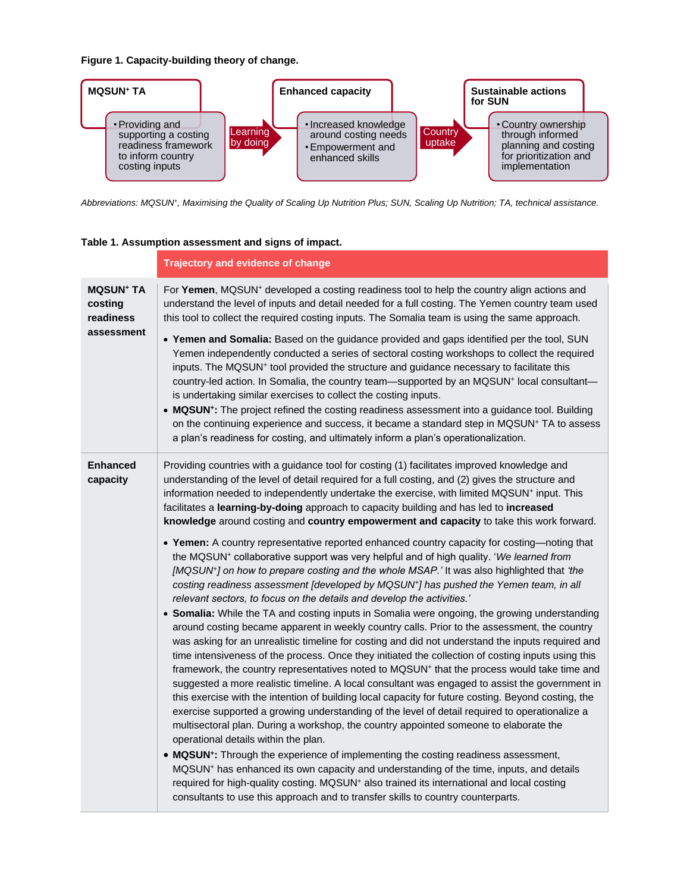**Figure 1. Capacity-building theory of change.**



*Abbreviations: MQSUN<sup>+</sup> , Maximising the Quality of Scaling Up Nutrition Plus; SUN, Scaling Up Nutrition; TA, technical assistance.*

| Table 1. Assumption assessment and signs of impact. |  |  |
|-----------------------------------------------------|--|--|
|                                                     |  |  |

|                                                     | <b>Trajectory and evidence of change</b>                                                                                                                                                                                                                                                                                                                                                                                                                                                                                                                                                                                                                                                                                                                                                                                                                                                                                                                                                                                                                                                                                                                                                                                                                                                                                                                                                                    |
|-----------------------------------------------------|-------------------------------------------------------------------------------------------------------------------------------------------------------------------------------------------------------------------------------------------------------------------------------------------------------------------------------------------------------------------------------------------------------------------------------------------------------------------------------------------------------------------------------------------------------------------------------------------------------------------------------------------------------------------------------------------------------------------------------------------------------------------------------------------------------------------------------------------------------------------------------------------------------------------------------------------------------------------------------------------------------------------------------------------------------------------------------------------------------------------------------------------------------------------------------------------------------------------------------------------------------------------------------------------------------------------------------------------------------------------------------------------------------------|
| <b>MQSUN<sup>+</sup> TA</b><br>costing<br>readiness | For Yemen, MQSUN <sup>+</sup> developed a costing readiness tool to help the country align actions and<br>understand the level of inputs and detail needed for a full costing. The Yemen country team used<br>this tool to collect the required costing inputs. The Somalia team is using the same approach.                                                                                                                                                                                                                                                                                                                                                                                                                                                                                                                                                                                                                                                                                                                                                                                                                                                                                                                                                                                                                                                                                                |
| assessment                                          | . Yemen and Somalia: Based on the guidance provided and gaps identified per the tool, SUN<br>Yemen independently conducted a series of sectoral costing workshops to collect the required<br>inputs. The MQSUN <sup>+</sup> tool provided the structure and guidance necessary to facilitate this<br>country-led action. In Somalia, the country team-supported by an MQSUN <sup>+</sup> local consultant-<br>is undertaking similar exercises to collect the costing inputs.<br>• MQSUN <sup>+</sup> : The project refined the costing readiness assessment into a guidance tool. Building<br>on the continuing experience and success, it became a standard step in MQSUN <sup>+</sup> TA to assess<br>a plan's readiness for costing, and ultimately inform a plan's operationalization.                                                                                                                                                                                                                                                                                                                                                                                                                                                                                                                                                                                                                 |
| <b>Enhanced</b><br>capacity                         | Providing countries with a guidance tool for costing (1) facilitates improved knowledge and<br>understanding of the level of detail required for a full costing, and (2) gives the structure and<br>information needed to independently undertake the exercise, with limited MQSUN+ input. This<br>facilitates a learning-by-doing approach to capacity building and has led to increased<br>knowledge around costing and country empowerment and capacity to take this work forward.                                                                                                                                                                                                                                                                                                                                                                                                                                                                                                                                                                                                                                                                                                                                                                                                                                                                                                                       |
|                                                     | • Yemen: A country representative reported enhanced country capacity for costing—noting that<br>the MQSUN <sup>+</sup> collaborative support was very helpful and of high quality. 'We learned from<br>[MQSUN <sup>+</sup> ] on how to prepare costing and the whole MSAP.' It was also highlighted that 'the<br>costing readiness assessment [developed by MQSUN+] has pushed the Yemen team, in all<br>relevant sectors, to focus on the details and develop the activities.'<br>• Somalia: While the TA and costing inputs in Somalia were ongoing, the growing understanding<br>around costing became apparent in weekly country calls. Prior to the assessment, the country<br>was asking for an unrealistic timeline for costing and did not understand the inputs required and<br>time intensiveness of the process. Once they initiated the collection of costing inputs using this<br>framework, the country representatives noted to MQSUN <sup>+</sup> that the process would take time and<br>suggested a more realistic timeline. A local consultant was engaged to assist the government in<br>this exercise with the intention of building local capacity for future costing. Beyond costing, the<br>exercise supported a growing understanding of the level of detail required to operationalize a<br>multisectoral plan. During a workshop, the country appointed someone to elaborate the |
|                                                     | operational details within the plan.<br>• MQSUN <sup>+</sup> : Through the experience of implementing the costing readiness assessment,<br>MQSUN <sup>+</sup> has enhanced its own capacity and understanding of the time, inputs, and details<br>required for high-quality costing. MQSUN <sup>+</sup> also trained its international and local costing<br>consultants to use this approach and to transfer skills to country counterparts.                                                                                                                                                                                                                                                                                                                                                                                                                                                                                                                                                                                                                                                                                                                                                                                                                                                                                                                                                                |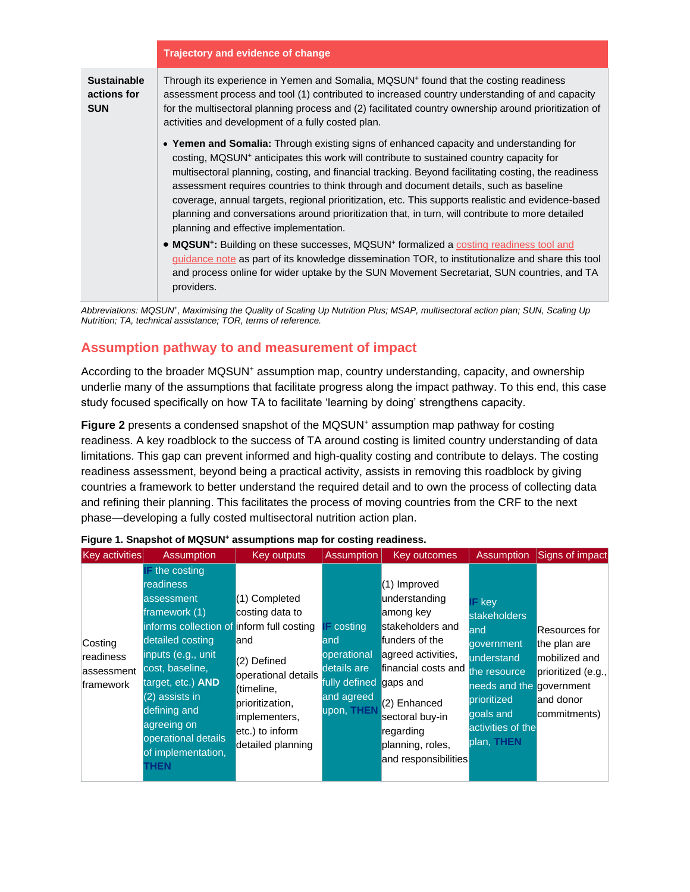|                                                 | Trajectory and evidence of change                                                                                                                                                                                                                                                                                                                                                                                                                                                                                                                                                                                                                 |  |  |  |
|-------------------------------------------------|---------------------------------------------------------------------------------------------------------------------------------------------------------------------------------------------------------------------------------------------------------------------------------------------------------------------------------------------------------------------------------------------------------------------------------------------------------------------------------------------------------------------------------------------------------------------------------------------------------------------------------------------------|--|--|--|
| <b>Sustainable</b><br>actions for<br><b>SUN</b> | Through its experience in Yemen and Somalia, MQSUN <sup>+</sup> found that the costing readiness<br>assessment process and tool (1) contributed to increased country understanding of and capacity<br>for the multisectoral planning process and (2) facilitated country ownership around prioritization of<br>activities and development of a fully costed plan.                                                                                                                                                                                                                                                                                 |  |  |  |
|                                                 | . Yemen and Somalia: Through existing signs of enhanced capacity and understanding for<br>costing, MQSUN <sup>+</sup> anticipates this work will contribute to sustained country capacity for<br>multisectoral planning, costing, and financial tracking. Beyond facilitating costing, the readiness<br>assessment requires countries to think through and document details, such as baseline<br>coverage, annual targets, regional prioritization, etc. This supports realistic and evidence-based<br>planning and conversations around prioritization that, in turn, will contribute to more detailed<br>planning and effective implementation. |  |  |  |
|                                                 | • MQSUN <sup>+</sup> : Building on these successes, MQSUN <sup>+</sup> formalized a costing readiness tool and<br>guidance note as part of its knowledge dissemination TOR, to institutionalize and share this tool<br>and process online for wider uptake by the SUN Movement Secretariat, SUN countries, and TA<br>providers.                                                                                                                                                                                                                                                                                                                   |  |  |  |

*Abbreviations: MQSUN<sup>+</sup> , Maximising the Quality of Scaling Up Nutrition Plus; MSAP, multisectoral action plan; SUN, Scaling Up Nutrition; TA, technical assistance; TOR, terms of reference.* 

## **Assumption pathway to and measurement of impact**

According to the broader MQSUN<sup>+</sup> assumption map, country understanding, capacity, and ownership underlie many of the assumptions that facilitate progress along the impact pathway. To this end, this case study focused specifically on how TA to facilitate 'learning by doing' strengthens capacity.

**Figure 2** presents a condensed snapshot of the MQSUN<sup>+</sup> assumption map pathway for costing readiness. A key roadblock to the success of TA around costing is limited country understanding of data limitations. This gap can prevent informed and high-quality costing and contribute to delays. The costing readiness assessment, beyond being a practical activity, assists in removing this roadblock by giving countries a framework to better understand the required detail and to own the process of collecting data and refining their planning. This facilitates the process of moving countries from the CRF to the next phase—developing a fully costed multisectoral nutrition action plan.

| $\mathsf{F}$ the costing<br>readiness<br>(1) Improved<br>understanding<br>(1) Completed<br>assessment<br>$IF$ key<br>framework (1)<br>costing data to<br>among key<br><b>stakeholders</b><br>informs collection of inform full costing<br>$F$ costing<br>stakeholders and<br>land<br>detailed costing<br>funders of the<br>land<br>land<br>Costing<br>qovernment<br>the plan are<br>inputs (e.g., unit<br>operational<br>agreed activities,<br>readiness<br>understand<br>(2) Defined<br>cost, baseline,<br>details are<br>financial costs and<br>assessment<br>the resource<br>operational details<br>target, etc.) <b>AND</b><br>fully defined<br>gaps and<br>framework<br>needs and the government<br>(timeline,<br>$(2)$ assists in<br>and agreed<br>prioritized<br>and donor<br>(2) Enhanced<br>prioritization,<br>upon, THEN<br>defining and<br>goals and<br>sectoral buy-in<br>implementers,<br>agreeing on<br>activities of the<br>etc.) to inform<br>regarding<br>operational details | Key activities | <b>Assumption</b> | Key outputs       | <b>Assumption</b> | Key outcomes     | <b>Assumption</b> | Signs of impact                                                      |
|------------------------------------------------------------------------------------------------------------------------------------------------------------------------------------------------------------------------------------------------------------------------------------------------------------------------------------------------------------------------------------------------------------------------------------------------------------------------------------------------------------------------------------------------------------------------------------------------------------------------------------------------------------------------------------------------------------------------------------------------------------------------------------------------------------------------------------------------------------------------------------------------------------------------------------------------------------------------------------------------|----------------|-------------------|-------------------|-------------------|------------------|-------------------|----------------------------------------------------------------------|
| of implementation,<br>and responsibilities<br><b>THEN</b>                                                                                                                                                                                                                                                                                                                                                                                                                                                                                                                                                                                                                                                                                                                                                                                                                                                                                                                                      |                |                   | detailed planning |                   | planning, roles, | plan, THEN        | Resources for<br>mobilized and<br>prioritized (e.g.,<br>commitments) |

|  |  | Figure 1. Snapshot of MQSUN <sup>+</sup> assumptions map for costing readiness. |  |  |
|--|--|---------------------------------------------------------------------------------|--|--|
|  |  |                                                                                 |  |  |